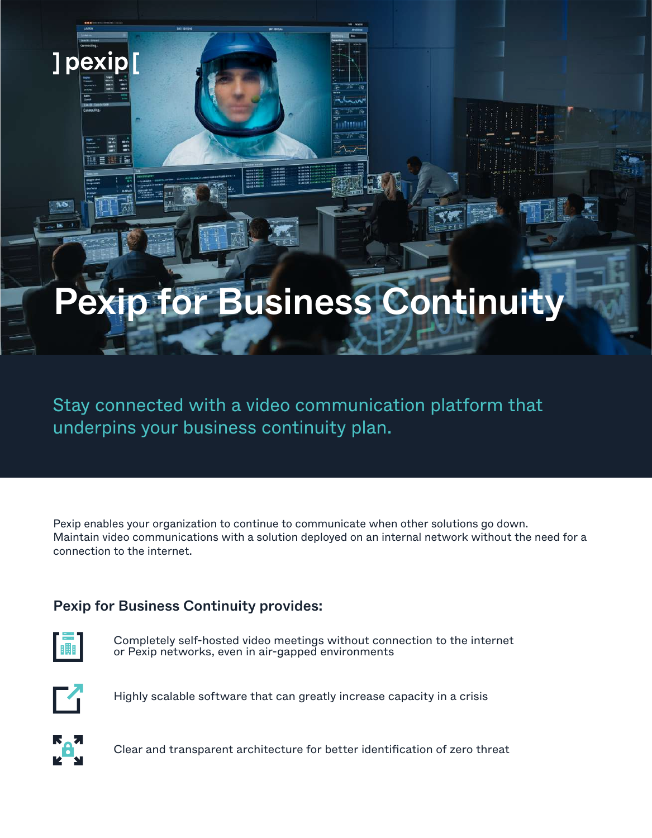# Pexip for Business Continuity

Stay connected with a video communication platform that underpins your business continuity plan.

Pexip enables your organization to continue to communicate when other solutions go down. Maintain video communications with a solution deployed on an internal network without the need for a connection to the internet.

## Pexip for Business Continuity provides:



]pexip[

Completely self-hosted video meetings without connection to the internet or Pexip networks, even in air-gapped environments



Highly scalable software that can greatly increase capacity in a crisis



Clear and transparent architecture for better identification of zero threat